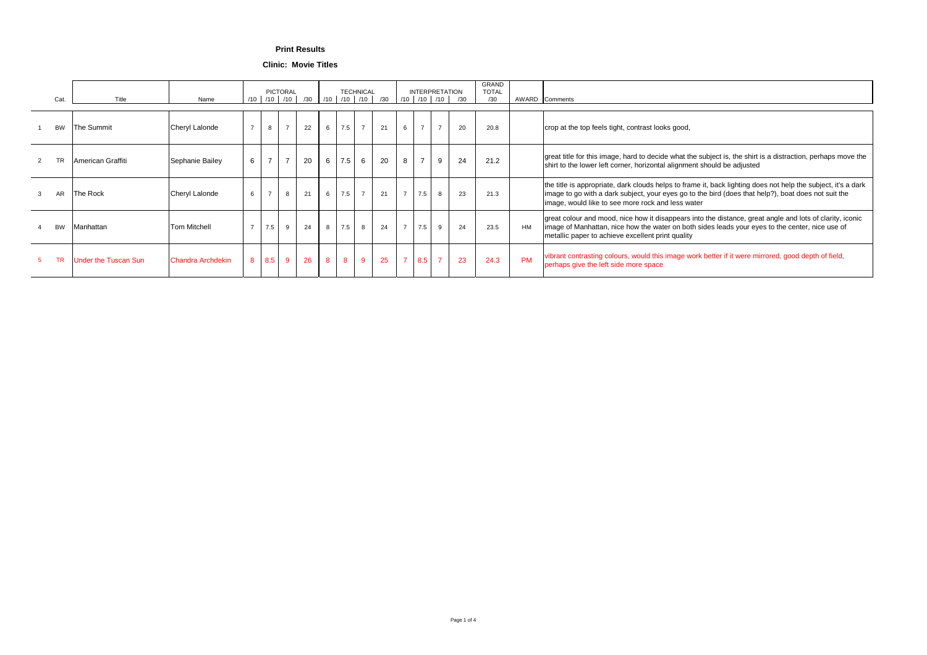**Clinic: Movie Titles**

| Cat.      |                             | Name                      | /10            |                | <b>PICTORAL</b><br>$/10$ $/10$ $ $ | /30 | /10             |                | <b>TECHNICAL</b> | $1/10$ $/10$ $/30$ |                 | <b>INTERPRETATION</b><br>10   10   10 |                | /30 | GRAND<br><b>TOTAL</b><br>/30 |           | AWARD Comments                                                                                                                                                                                                                                                            |
|-----------|-----------------------------|---------------------------|----------------|----------------|------------------------------------|-----|-----------------|----------------|------------------|--------------------|-----------------|---------------------------------------|----------------|-----|------------------------------|-----------|---------------------------------------------------------------------------------------------------------------------------------------------------------------------------------------------------------------------------------------------------------------------------|
| <b>BW</b> | The Summit                  | <b>Cheryl Lalonde</b>     |                | 8              | $\overline{z}$                     | 22  | $6\overline{6}$ | 7.5            | $\overline{7}$   | 21                 | $6\overline{6}$ | $\overline{z}$                        | $\overline{7}$ | 20  | 20.8                         |           | crop at the top feels tight, contrast looks good,                                                                                                                                                                                                                         |
|           | American Graffiti           | Sephanie Bailey           | 6              | $\overline{z}$ | $\overline{z}$                     | 20  | $6\overline{6}$ | 7.5            | $6\overline{6}$  | 20                 | 8               | $\overline{z}$                        | 9              | 24  | 21.2                         |           | great title for this image, hard to decide what the subject is, the shirt is a distraction, perhaps move the<br>shirt to the lower left corner, horizontal alignment should be adjusted                                                                                   |
| <b>AR</b> | The Rock                    | <b>Cheryl Lalonde</b>     | 6              | $\overline{7}$ | 8                                  | 21  | $6\overline{6}$ | 7.5            | $\overline{7}$   | 21                 | $\overline{7}$  | 7.5                                   | 8              | 23  | 21.3                         |           | the title is appropriate, dark clouds helps to frame it, back lighting does not help the subject, it's a dark<br>image to go with a dark subject, your eyes go to the bird (does that help?), boat does not suit the<br>image, would like to see more rock and less water |
| <b>BW</b> | Manhattan                   | <b>Tom Mitchell</b>       |                | 7.5            | 9                                  | 24  |                 | 7.5            | 8                | 24                 | $\overline{z}$  | 7.5                                   | 9              | 24  | 23.5                         | HM        | great colour and mood, nice how it disappears into the distance, great angle and lots of clarity, iconic<br>image of Manhattan, nice how the water on both sides leads your eyes to the center, nice use of<br>metallic paper to achieve excellent print quality          |
|           | <b>Under the Tuscan Sun</b> | <b>IChandra Archdekin</b> | 8 <sup>8</sup> | 8.5            | 9                                  | 26  | 8 <sup>8</sup>  | 8 <sup>8</sup> | 9                | 25                 | $\overline{7}$  | 8.5                                   | $\overline{7}$ | 23  | 24.3                         | <b>PM</b> | vibrant contrasting colours, would this image work better if it were mirrored, good depth of field,<br>perhaps give the left side more space                                                                                                                              |

## **Print Results**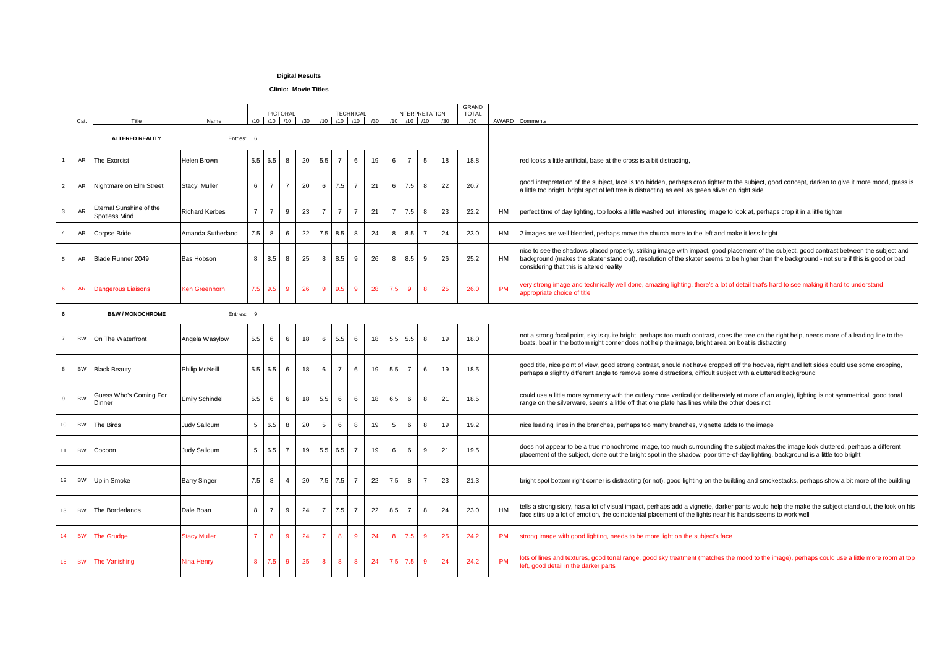|                  | Cat.      | Title                                    | Name                  | /10             | <b>PICTORAL</b><br>$/10$ $/10$ $/30$ |                 |    | /10                      |                | <b>TECHNICAL</b><br>$/10$ $/10$ $/10$ | /30 |                 | <b>INTERPRETATION</b> |                 | $/10$ $/10$ $/10$ $/30$ | <b>GRAND</b><br><b>TOTAL</b><br>/30 | AWARD Comments                                                                                                                                                                                                                                                                             |
|------------------|-----------|------------------------------------------|-----------------------|-----------------|--------------------------------------|-----------------|----|--------------------------|----------------|---------------------------------------|-----|-----------------|-----------------------|-----------------|-------------------------|-------------------------------------|--------------------------------------------------------------------------------------------------------------------------------------------------------------------------------------------------------------------------------------------------------------------------------------------|
|                  |           | <b>ALTERED REALITY</b>                   | Entries: 6            |                 |                                      |                 |    |                          |                |                                       |     |                 |                       |                 |                         |                                     |                                                                                                                                                                                                                                                                                            |
|                  | AR        | <b>The Exorcist</b>                      | Helen Brown           |                 | 5.5   6.5                            | 8               | 20 | 5.5                      | $\overline{7}$ | $6\overline{6}$                       | 19  | $6\overline{6}$ | $\overline{7}$        | $5\overline{)}$ | 18                      | 18.8                                | red looks a little artificial, base at the cross is a bit distracting,                                                                                                                                                                                                                     |
| $2^{\circ}$      | AR        | Nightmare on Elm Street                  | <b>Stacy Muller</b>   | $6\overline{6}$ |                                      |                 | 20 | $6\overline{6}$          | $7.5$ 7        |                                       | 21  | $6\overline{6}$ | 7.5                   | 8 <sup>8</sup>  | 22                      | 20.7                                | good interpretation of the subject, face is too hidden, perhaps crop tighter to the subject, good concept, darken to g<br>a little too bright, bright spot of left tree is distracting as well as green sliver on right side                                                               |
| 3 <sup>1</sup>   | <b>AR</b> | Eternal Sunshine of the<br>Spotless Mind | <b>Richard Kerbes</b> |                 | $\overline{7}$                       | 9               | 23 | $\overline{\phantom{a}}$ | $\overline{7}$ |                                       | 21  | $\overline{7}$  | 7.5                   | 8               | 23                      | 22.2                                | HM<br>perfect time of day lighting, top looks a little washed out, interesting image to look at, perhaps crop it in a little tighter                                                                                                                                                       |
|                  | AR        | Corpse Bride                             | Amanda Sutherland     | 7.5             | 8                                    | 6               | 22 |                          | $7.5$ 8.5      | 8                                     | 24  | 8               | 8.5                   | $\overline{7}$  | 24                      | 23.0                                | HM<br>2 images are well blended, perhaps move the church more to the left and make it less bright                                                                                                                                                                                          |
|                  | AR        | <b>Blade Runner 2049</b>                 | <b>Bas Hobson</b>     | 8               | 8.5                                  | 8               | 25 | 8                        | 8.5            | 9                                     | 26  | 8               | 8.5                   | 9               | 26                      | 25.2                                | nice to see the shadows placed properly, striking image with impact, good placement of the subject, good contrast b<br>HM<br>background (makes the skater stand out), resolution of the skater seems to be higher than the background - not su<br>considering that this is altered reality |
|                  | <b>AR</b> | Dangerous Liaisons                       | Ken Greenhorn         |                 | $7.5$ 9.5                            | 9               | 26 | 9                        | $9.5$ 9        |                                       | 28  | 7.5             | 9                     | 8 <sup>8</sup>  | 25                      | 26.0                                | very strong image and technically well done, amazing lighting, there's a lot of detail that's hard to see making it hard<br><b>PM</b><br>appropriate choice of title                                                                                                                       |
|                  |           | <b>B&amp;W / MONOCHROME</b>              | Entries: 9            |                 |                                      |                 |    |                          |                |                                       |     |                 |                       |                 |                         |                                     |                                                                                                                                                                                                                                                                                            |
|                  | <b>BW</b> | On The Waterfront                        | Angela Wasylow        | 5.5             | 6                                    | $6\overline{6}$ | 18 | $6\phantom{1}6$          | 5.5            | 6                                     | 18  |                 | $5.5$ 5.5             | 8               | 19                      | 18.0                                | not a strong focal point, sky is quite bright, perhaps too much contrast, does the tree on the right help, needs more<br>boats, boat in the bottom right corner does not help the image, bright area on boat is distracting                                                                |
|                  | <b>BW</b> | <b>Black Beauty</b>                      | <b>Philip McNeill</b> |                 | $5.5 \, \, 6.5$                      | 6               | 18 | $6\phantom{1}$           | $\overline{7}$ | 6                                     | 19  | 5.5             | $\overline{7}$        | 6               | 19                      | 18.5                                | good title, nice point of view, good strong contrast, should not have cropped off the hooves, right and left sides coul<br>perhaps a slightly different angle to remove some distractions, difficult subject with a cluttered background                                                   |
|                  | <b>BW</b> | Guess Who's Coming For<br> Dinner        | <b>Emily Schindel</b> | 5.5             | 6                                    | 6               | 18 | 5.5                      | 6              | 6                                     | 18  | 6.5             | 6                     | 8 <sup>8</sup>  | 21                      | 18.5                                | could use a little more symmetry with the cutlery more vertical (or deliberately at more of an angle), lighting is not sy<br>range on the silverware, seems a little off that one plate has lines while the other does not                                                                 |
|                  | BW        | The Birds                                | <b>Judy Salloum</b>   | $5\overline{)}$ | 6.5                                  | 8               | 20 | $5\overline{)}$          | 6              |                                       | 19  | $5\overline{)}$ | 6                     | 8               | 19                      | 19.2                                | nice leading lines in the branches, perhaps too many branches, vignette adds to the image                                                                                                                                                                                                  |
| 11               | <b>BW</b> | Cocoon                                   | <b>Judy Salloum</b>   | 5 <sup>5</sup>  | 6.5                                  |                 | 19 |                          | $5.5$ 6.5 7    |                                       | 19  | $6\overline{6}$ | 6                     | 9               | 21                      | 19.5                                | does not appear to be a true monochrome image, too much surrounding the subject makes the image look cluttered<br>placement of the subject, clone out the bright spot in the shadow, poor time-of-day lighting, background is a little too                                                 |
|                  | BW        | Up in Smoke                              | <b>Barry Singer</b>   | 7.5             | 8                                    |                 | 20 |                          | $7.5$ 7.5 7    |                                       | 22  | 7.5             | 8                     | $\overline{7}$  | 23                      | 21.3                                | bright spot bottom right corner is distracting (or not), good lighting on the building and smokestacks, perhaps show                                                                                                                                                                       |
|                  | <b>BW</b> | <b>The Borderlands</b>                   | Dale Boan             | 8               |                                      | 9               | 24 |                          | $7.5$ 7        |                                       | 22  | 8.5             |                       | 8 <sup>8</sup>  | 24                      | 23.0                                | tells a strong story, has a lot of visual impact, perhaps add a vignette, darker pants would help the make the subject<br><b>HM</b><br>face stirs up a lot of emotion, the coincidental placement of the lights near his hands seems to work well                                          |
|                  | <b>BW</b> | <b>The Grudge</b>                        | <b>Stacy Muller</b>   |                 | $8\phantom{1}$                       | $9^{\circ}$     | 24 |                          | 8 <sup>°</sup> | 9                                     | 24  | 8 <sup>8</sup>  | 7.5                   | 9               | 25                      | 24.2                                | <b>PM</b><br>strong image with good lighting, needs to be more light on the subject's face                                                                                                                                                                                                 |
| 15 <sup>15</sup> | <b>BW</b> | <b>The Vanishing</b>                     | Nina Henry            | 8               | 7.5                                  | 9               | 25 | 8 <sup>8</sup>           | 8 <sup>8</sup> | 8                                     | 24  |                 | $7.5$ $7.5$           | 9               | 24                      | 24.2                                | lots of lines and textures, good tonal range, good sky treatment (matches the mood to the image), perhaps could us<br><b>PM</b><br>left, good detail in the darker parts                                                                                                                   |
|                  |           |                                          |                       |                 |                                      |                 |    |                          |                |                                       |     |                 |                       |                 |                         |                                     |                                                                                                                                                                                                                                                                                            |

, darken to give it more mood, grass is od contrast between the subject and und - not sure if this is good or bad aking it hard to understand, needs more of a leading line to the t sides could use some cropping, ting is not symmetrical, good tonal look cluttered, perhaps a different I is a little too bright rhaps show a bit more of the building e the subject stand out, the look on his aps could use a little more room at top

## **Digital Results**

## **Clinic: Movie Titles**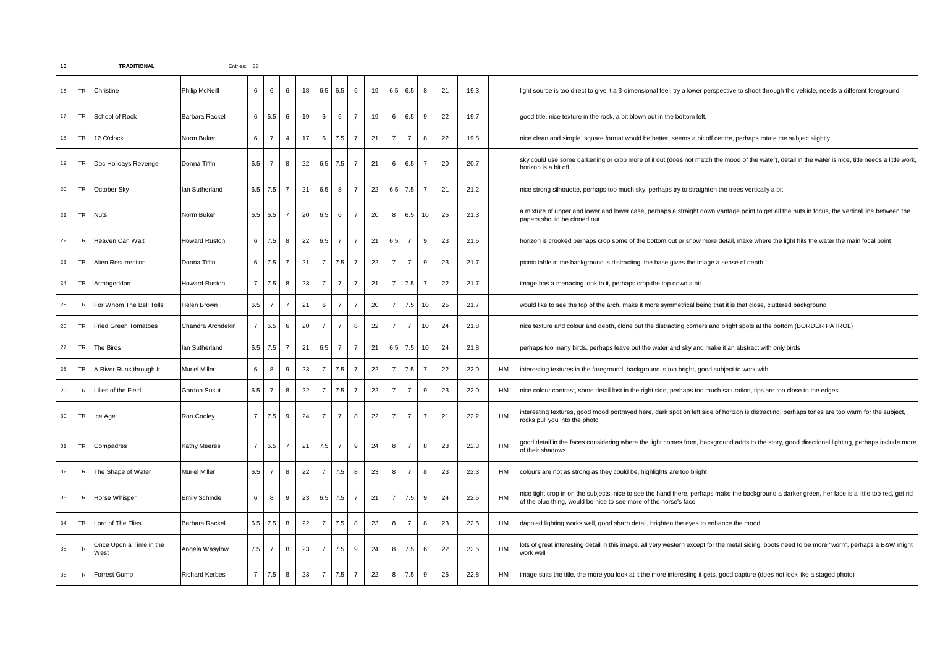

| 15              |           | <b>TRADITIONAL</b>              | Entries: 38           |                 |                   |                |    |                 |                                  |                |    |                |                                                         |                 |    |            |                                                                                                                                                                                                              |
|-----------------|-----------|---------------------------------|-----------------------|-----------------|-------------------|----------------|----|-----------------|----------------------------------|----------------|----|----------------|---------------------------------------------------------|-----------------|----|------------|--------------------------------------------------------------------------------------------------------------------------------------------------------------------------------------------------------------|
|                 | <b>TR</b> | Christine                       | <b>Philip McNeill</b> |                 | $6\phantom{1}6$   | 6              | 18 |                 | 6.5   6.5                        | 6              | 19 |                | 6.5   6.5                                               | 8 <sup>1</sup>  | 21 | 19.3       | light source is too direct to give it a 3-dimensional feel, try a lower perspective to shoot through the vehicle, needs a different foreground                                                               |
| 17 <sup>2</sup> | TR        | School of Rock                  | Barbara Rackel        | $6\overline{6}$ | 6.5               | 6              | 19 | $6\overline{6}$ | $6\phantom{1}6$                  | $\overline{z}$ | 19 |                | 6.5                                                     | 9               | 22 | 19.7       | good title, nice texture in the rock, a bit blown out in the bottom left,                                                                                                                                    |
| 18              | TR        | 12 O'clock                      | Norm Buker            |                 | $\overline{7}$    | $\overline{4}$ | 17 |                 | 6   7.5                          |                | 21 | $\overline{7}$ | $\overline{z}$                                          | 8               | 22 | 19.8       | nice clean and simple, square format would be better, seems a bit off centre, perhaps rotate the subject slightly                                                                                            |
| 19              | TR        | Doc Holidays Revenge            | Donna Tiffin          | 6.5             | $\overline{7}$    | 8              | 22 |                 | $6.5$ 7.5                        |                | 21 | 6              | 6.5                                                     | $\overline{7}$  | 20 | 20.7       | sky could use some darkening or crop more of it out (does not match the mood of the water), detail in the water is nice, title needs a l<br>horizon is a bit off                                             |
| 20              | <b>TR</b> | October Sky                     | lan Sutherland        | $6.5$   7.5     |                   | $-7$           | 21 | 6.5             | 8                                | $\overline{7}$ | 22 |                | $6.5$ 7.5                                               | $\overline{7}$  | 21 | 21.2       | nice strong silhouette, perhaps too much sky, perhaps try to straighten the trees vertically a bit                                                                                                           |
| 21              | <b>TR</b> | <b>Nuts</b>                     | Norm Buker            | 6.5   6.5       |                   | $\overline{7}$ | 20 | 6.5             | $6\overline{6}$                  |                | 20 |                | 8   6.5                                                 | 10              | 25 | 21.3       | a mixture of upper and lower and lower case, perhaps a straight down vantage point to get all the nuts in focus, the vertical line betw<br>papers should be cloned out                                       |
| 22              | <b>TR</b> | Heaven Can Wait                 | <b>Howard Ruston</b>  | 6               | 7.5               | 8              | 22 |                 | $6.5$ 7                          | $\overline{7}$ | 21 | 6.5            | $\overline{7}$                                          | 9               | 23 | 21.5       | horizon is crooked perhaps crop some of the bottom out or show more detail, make where the light hits the water the main focal point                                                                         |
| 23              | TR        | Alien Resurrection              | Donna Tiffin          | 6 <sup>1</sup>  | $\vert 7.5 \vert$ | $\overline{7}$ |    |                 | 21   7   7.5                     | $\overline{7}$ | 22 | $\overline{7}$ | $\overline{7}$                                          | 9               | 23 | 21.7       | picnic table in the background is distracting, the base gives the image a sense of depth                                                                                                                     |
| 24              | <b>TR</b> | Armageddon                      | <b>Howard Ruston</b>  |                 | 7.5               | 8              | 23 | $\overline{7}$  | $\overline{7}$                   | $\overline{7}$ | 21 |                | 7 7.5                                                   | $\overline{7}$  | 22 | 21.7       | limage has a menacing look to it, perhaps crop the top down a bit                                                                                                                                            |
| 25              | <b>TR</b> | <b>For Whom The Bell Tolls</b>  | Helen Brown           | 6.5             |                   |                | 21 | $6\overline{6}$ | $\overline{7}$                   |                | 20 | $\overline{7}$ | $\begin{array}{ c c }\n\hline\n\text{7.5}\n\end{array}$ | 10              | 25 | 21.7       | would like to see the top of the arch, make it more symmetrical being that it is that close, cluttered background                                                                                            |
| 26              | <b>TR</b> | <b>Fried Green Tomatoes</b>     | Chandra Archdekin     |                 | 6.5               | 6              | 20 | $\overline{7}$  | $\overline{7}$                   | $8\phantom{1}$ | 22 | $\overline{7}$ | $\overline{7}$                                          | 10 <sup>1</sup> | 24 | 21.8       | nice texture and colour and depth, clone out the distracting corners and bright spots at the bottom (BORDER PATROL)                                                                                          |
| 27              | <b>TR</b> | The Birds                       | lan Sutherland        | $6.5$ 7.5       |                   | $\overline{7}$ | 21 |                 | $6.5$ 7                          |                | 21 |                | $6.5$ 7.5 10                                            |                 | 24 | 21.8       | perhaps too many birds, perhaps leave out the water and sky and make it an abstract with only birds                                                                                                          |
| 28              | <b>TR</b> | A River Runs through It         | <b>Muriel Miller</b>  |                 | 8                 | 9              | 23 | $\overline{7}$  | 7.5                              |                | 22 |                | 7 7.5                                                   | $\overline{7}$  | 22 | 22.0<br>HM | interesting textures in the foreground, background is too bright, good subject to work with                                                                                                                  |
| 29              | TR        | Lilies of the Field             | <b>Gordon Sukut</b>   | 6.5             | $\overline{7}$    | 8              | 22 | $\overline{7}$  | $7.5$                            |                | 22 | $\overline{7}$ | $\overline{\phantom{0}}$                                | 9               | 23 | 22.0<br>HM | nice colour contrast, some detail lost in the right side, perhaps too much saturation, tips are too close to the edges                                                                                       |
| 30              | <b>TR</b> | <b>Ice Age</b>                  | <b>Ron Cooley</b>     |                 | $\vert 7.5 \vert$ | 9              | 24 | $\overline{7}$  | $\begin{array}{ccc} \end{array}$ | 8              | 22 | 7 <sup>7</sup> | $\overline{7}$                                          | $\overline{7}$  | 21 | 22.2<br>HM | interesting textures, good mood portrayed here, dark spot on left side of horizon is distracting, perhaps tones are too warm for the su<br>rocks pull you into the photo                                     |
| 31              | <b>TR</b> | Compadres                       | <b>Kathy Meeres</b>   |                 | 6.5               | $\overline{7}$ | 21 |                 | $7.5$ 7                          | 9              | 24 | 8              | $\overline{z}$                                          | 8               | 23 | 22.3<br>HM | good detail in the faces considering where the light comes from, background adds to the story, good directional lighting, perhaps incli<br>of their shadows                                                  |
| 32              | <b>TR</b> | The Shape of Water              | <b>Muriel Miller</b>  | 6.5             | $\overline{7}$    | 8              | 22 | $\overline{7}$  | 7.5                              | 8              | 23 | 8              | $\overline{\phantom{0}}$                                | 8               | 23 | 22.3<br>HM | colours are not as strong as they could be, highlights are too bright                                                                                                                                        |
| 33              | <b>TR</b> | Horse Whisper                   | <b>Emily Schindel</b> |                 | 8                 | 9              | 23 |                 | $6.5$ 7.5                        |                | 21 |                | $7 \mid 7.5 \mid$                                       | 9               | 24 | HM<br>22.5 | nice tight crop in on the subjects, nice to see the hand there, perhaps make the background a darker green, her face is a little too rec<br>of the blue thing, would be nice to see more of the horse's face |
| 34              | <b>TR</b> | Lord of The Flies               | <b>Barbara Rackel</b> | $6.5$   $7.5$   |                   | 8              | 22 | $\overline{7}$  | 7.5                              | 8              | 23 | 8              | $\overline{\phantom{a}}$                                | 8               | 23 | 22.5<br>HM | dappled lighting works well, good sharp detail, brighten the eyes to enhance the mood                                                                                                                        |
| 35              | <b>TR</b> | Once Upon a Time in the<br>West | Angela Wasylow        | 7.5             | $\overline{7}$    | 8              | 23 | $\overline{7}$  | $\vert 7.5 \vert$                | 9              | 24 |                | 8   7.5                                                 | 6               | 22 | HM<br>22.5 | llots of great interesting detail in this image, all very western except for the metal siding, boots need to be more "worn", perhaps a B&<br>work well                                                       |
|                 | <b>TR</b> | <b>Forrest Gump</b>             | <b>Richard Kerbes</b> |                 | 7.5               | 8              | 23 |                 | 7.5                              |                | 22 | 8              | 7.5                                                     | 9               | 25 | 22.8<br>HM | limage suits the title, the more you look at it the more interesting it gets, good capture (does not look like a staged photo)                                                                               |